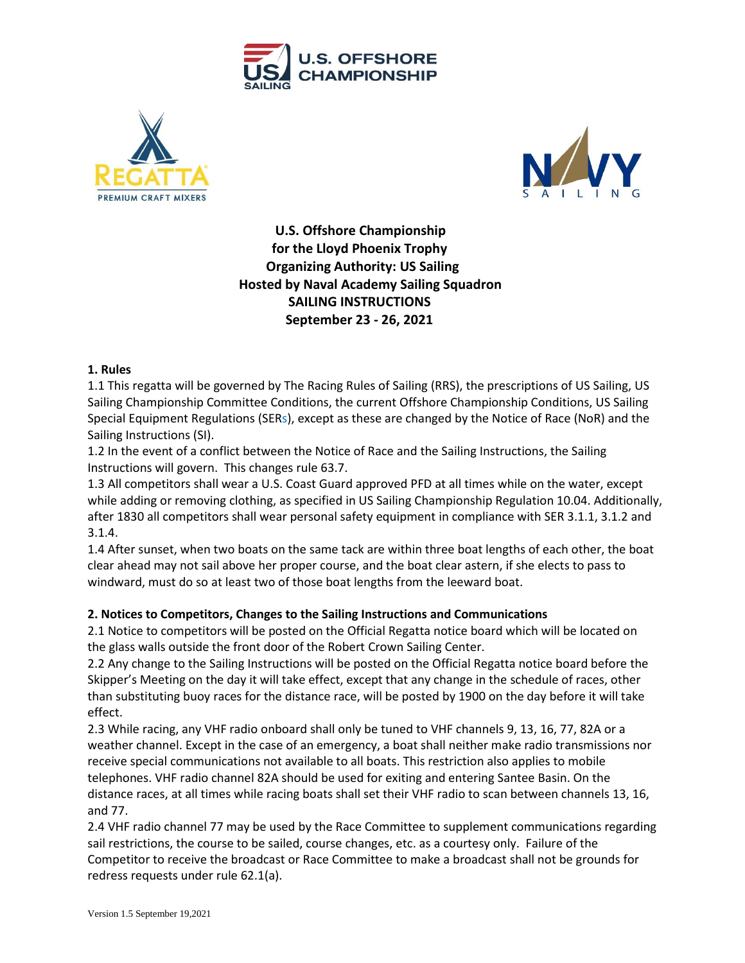





 **U.S. Offshore Championship for the Lloyd Phoenix Trophy Organizing Authority: US Sailing Hosted by Naval Academy Sailing Squadron SAILING INSTRUCTIONS September 23 - 26, 2021**

#### **1. Rules**

1.1 This regatta will be governed by The Racing Rules of Sailing (RRS), the prescriptions of US Sailing, US Sailing Championship Committee Conditions, the current Offshore Championship Conditions, US Sailing Special Equipment Regulations (SERs), except as these are changed by the Notice of Race (NoR) and the Sailing Instructions (SI).

1.2 In the event of a conflict between the Notice of Race and the Sailing Instructions, the Sailing Instructions will govern. This changes rule 63.7.

1.3 All competitors shall wear a U.S. Coast Guard approved PFD at all times while on the water, except while adding or removing clothing, as specified in US Sailing Championship Regulation 10.04. Additionally, after 1830 all competitors shall wear personal safety equipment in compliance with SER 3.1.1, 3.1.2 and 3.1.4.

1.4 After sunset, when two boats on the same tack are within three boat lengths of each other, the boat clear ahead may not sail above her proper course, and the boat clear astern, if she elects to pass to windward, must do so at least two of those boat lengths from the leeward boat.

## **2. Notices to Competitors, Changes to the Sailing Instructions and Communications**

2.1 Notice to competitors will be posted on the Official Regatta notice board which will be located on the glass walls outside the front door of the Robert Crown Sailing Center.

2.2 Any change to the Sailing Instructions will be posted on the Official Regatta notice board before the Skipper's Meeting on the day it will take effect, except that any change in the schedule of races, other than substituting buoy races for the distance race, will be posted by 1900 on the day before it will take effect.

2.3 While racing, any VHF radio onboard shall only be tuned to VHF channels 9, 13, 16, 77, 82A or a weather channel. Except in the case of an emergency, a boat shall neither make radio transmissions nor receive special communications not available to all boats. This restriction also applies to mobile telephones. VHF radio channel 82A should be used for exiting and entering Santee Basin. On the distance races, at all times while racing boats shall set their VHF radio to scan between channels 13, 16, and 77.

2.4 VHF radio channel 77 may be used by the Race Committee to supplement communications regarding sail restrictions, the course to be sailed, course changes, etc. as a courtesy only. Failure of the Competitor to receive the broadcast or Race Committee to make a broadcast shall not be grounds for redress requests under rule 62.1(a).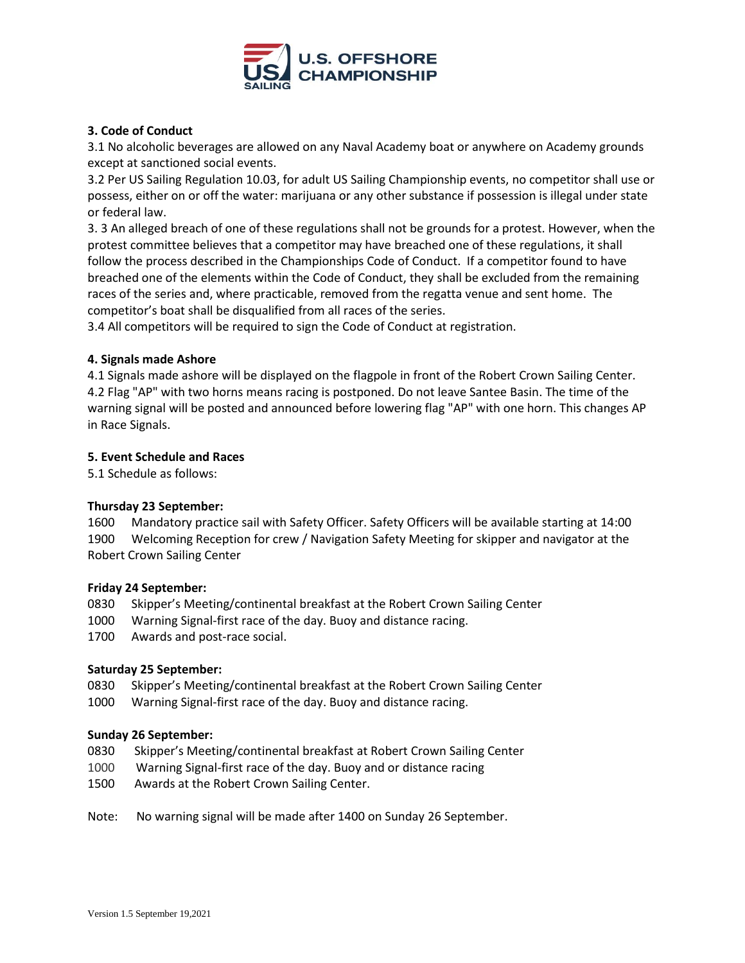

# **3. Code of Conduct**

3.1 No alcoholic beverages are allowed on any Naval Academy boat or anywhere on Academy grounds except at sanctioned social events.

3.2 Per US Sailing Regulation 10.03, for adult US Sailing Championship events, no competitor shall use or possess, either on or off the water: marijuana or any other substance if possession is illegal under state or federal law.

3. 3 An alleged breach of one of these regulations shall not be grounds for a protest. However, when the protest committee believes that a competitor may have breached one of these regulations, it shall follow the process described in the Championships Code of Conduct. If a competitor found to have breached one of the elements within the Code of Conduct, they shall be excluded from the remaining races of the series and, where practicable, removed from the regatta venue and sent home. The competitor's boat shall be disqualified from all races of the series.

3.4 All competitors will be required to sign the Code of Conduct at registration.

## **4. Signals made Ashore**

4.1 Signals made ashore will be displayed on the flagpole in front of the Robert Crown Sailing Center. 4.2 Flag "AP" with two horns means racing is postponed. Do not leave Santee Basin. The time of the warning signal will be posted and announced before lowering flag "AP" with one horn. This changes AP in Race Signals.

#### **5. Event Schedule and Races**

5.1 Schedule as follows:

## **Thursday 23 September:**

1600 Mandatory practice sail with Safety Officer. Safety Officers will be available starting at 14:00 1900 Welcoming Reception for crew / Navigation Safety Meeting for skipper and navigator at the Robert Crown Sailing Center

#### **Friday 24 September:**

- 0830 Skipper's Meeting/continental breakfast at the Robert Crown Sailing Center
- 1000 Warning Signal-first race of the day. Buoy and distance racing.
- 1700 Awards and post-race social.

## **Saturday 25 September:**

- 0830 Skipper's Meeting/continental breakfast at the Robert Crown Sailing Center
- 1000 Warning Signal-first race of the day. Buoy and distance racing.

#### **Sunday 26 September:**

- 0830 Skipper's Meeting/continental breakfast at Robert Crown Sailing Center
- 1000 Warning Signal-first race of the day. Buoy and or distance racing
- 1500 Awards at the Robert Crown Sailing Center.
- Note: No warning signal will be made after 1400 on Sunday 26 September.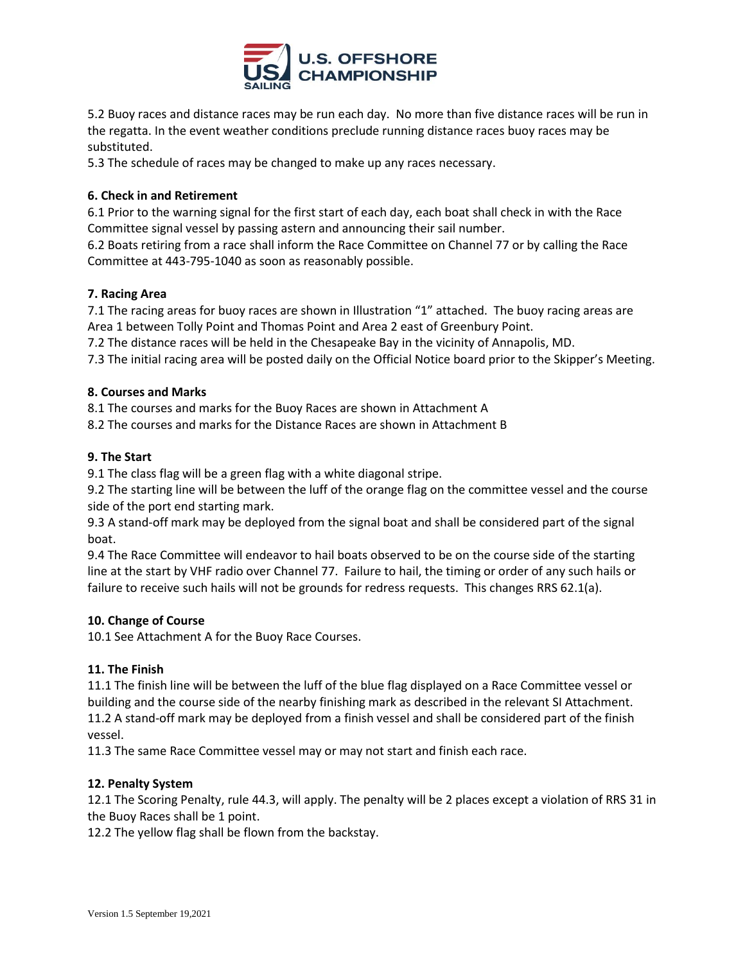

5.2 Buoy races and distance races may be run each day. No more than five distance races will be run in the regatta. In the event weather conditions preclude running distance races buoy races may be substituted.

5.3 The schedule of races may be changed to make up any races necessary.

# **6. Check in and Retirement**

6.1 Prior to the warning signal for the first start of each day, each boat shall check in with the Race Committee signal vessel by passing astern and announcing their sail number.

6.2 Boats retiring from a race shall inform the Race Committee on Channel 77 or by calling the Race Committee at 443-795-1040 as soon as reasonably possible.

# **7. Racing Area**

7.1 The racing areas for buoy races are shown in Illustration "1" attached. The buoy racing areas are Area 1 between Tolly Point and Thomas Point and Area 2 east of Greenbury Point.

7.2 The distance races will be held in the Chesapeake Bay in the vicinity of Annapolis, MD.

7.3 The initial racing area will be posted daily on the Official Notice board prior to the Skipper's Meeting.

## **8. Courses and Marks**

8.1 The courses and marks for the Buoy Races are shown in Attachment A

8.2 The courses and marks for the Distance Races are shown in Attachment B

# **9. The Start**

9.1 The class flag will be a green flag with a white diagonal stripe.

9.2 The starting line will be between the luff of the orange flag on the committee vessel and the course side of the port end starting mark.

9.3 A stand-off mark may be deployed from the signal boat and shall be considered part of the signal boat.

9.4 The Race Committee will endeavor to hail boats observed to be on the course side of the starting line at the start by VHF radio over Channel 77. Failure to hail, the timing or order of any such hails or failure to receive such hails will not be grounds for redress requests. This changes RRS 62.1(a).

## **10. Change of Course**

10.1 See Attachment A for the Buoy Race Courses.

## **11. The Finish**

11.1 The finish line will be between the luff of the blue flag displayed on a Race Committee vessel or building and the course side of the nearby finishing mark as described in the relevant SI Attachment. 11.2 A stand-off mark may be deployed from a finish vessel and shall be considered part of the finish vessel.

11.3 The same Race Committee vessel may or may not start and finish each race.

## **12. Penalty System**

12.1 The Scoring Penalty, rule 44.3, will apply. The penalty will be 2 places except a violation of RRS 31 in the Buoy Races shall be 1 point.

12.2 The yellow flag shall be flown from the backstay.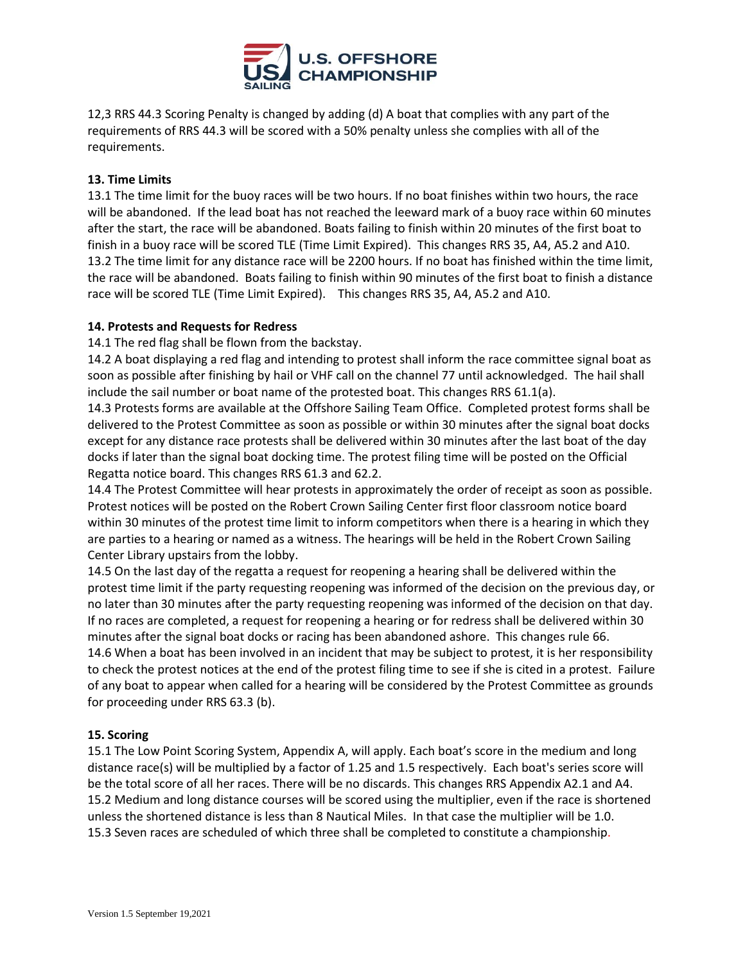

12,3 RRS 44.3 Scoring Penalty is changed by adding (d) A boat that complies with any part of the requirements of RRS 44.3 will be scored with a 50% penalty unless she complies with all of the requirements.

## **13. Time Limits**

13.1 The time limit for the buoy races will be two hours. If no boat finishes within two hours, the race will be abandoned. If the lead boat has not reached the leeward mark of a buoy race within 60 minutes after the start, the race will be abandoned. Boats failing to finish within 20 minutes of the first boat to finish in a buoy race will be scored TLE (Time Limit Expired). This changes RRS 35, A4, A5.2 and A10. 13.2 The time limit for any distance race will be 2200 hours. If no boat has finished within the time limit, the race will be abandoned. Boats failing to finish within 90 minutes of the first boat to finish a distance race will be scored TLE (Time Limit Expired). This changes RRS 35, A4, A5.2 and A10.

## **14. Protests and Requests for Redress**

14.1 The red flag shall be flown from the backstay.

14.2 A boat displaying a red flag and intending to protest shall inform the race committee signal boat as soon as possible after finishing by hail or VHF call on the channel 77 until acknowledged. The hail shall include the sail number or boat name of the protested boat. This changes RRS 61.1(a).

14.3 Protests forms are available at the Offshore Sailing Team Office. Completed protest forms shall be delivered to the Protest Committee as soon as possible or within 30 minutes after the signal boat docks except for any distance race protests shall be delivered within 30 minutes after the last boat of the day docks if later than the signal boat docking time. The protest filing time will be posted on the Official Regatta notice board. This changes RRS 61.3 and 62.2.

14.4 The Protest Committee will hear protests in approximately the order of receipt as soon as possible. Protest notices will be posted on the Robert Crown Sailing Center first floor classroom notice board within 30 minutes of the protest time limit to inform competitors when there is a hearing in which they are parties to a hearing or named as a witness. The hearings will be held in the Robert Crown Sailing Center Library upstairs from the lobby.

14.5 On the last day of the regatta a request for reopening a hearing shall be delivered within the protest time limit if the party requesting reopening was informed of the decision on the previous day, or no later than 30 minutes after the party requesting reopening was informed of the decision on that day. If no races are completed, a request for reopening a hearing or for redress shall be delivered within 30 minutes after the signal boat docks or racing has been abandoned ashore. This changes rule 66. 14.6 When a boat has been involved in an incident that may be subject to protest, it is her responsibility to check the protest notices at the end of the protest filing time to see if she is cited in a protest. Failure of any boat to appear when called for a hearing will be considered by the Protest Committee as grounds for proceeding under RRS 63.3 (b).

## **15. Scoring**

15.1 The Low Point Scoring System, Appendix A, will apply. Each boat's score in the medium and long distance race(s) will be multiplied by a factor of 1.25 and 1.5 respectively. Each boat's series score will be the total score of all her races. There will be no discards. This changes RRS Appendix A2.1 and A4. 15.2 Medium and long distance courses will be scored using the multiplier, even if the race is shortened unless the shortened distance is less than 8 Nautical Miles. In that case the multiplier will be 1.0. 15.3 Seven races are scheduled of which three shall be completed to constitute a championship.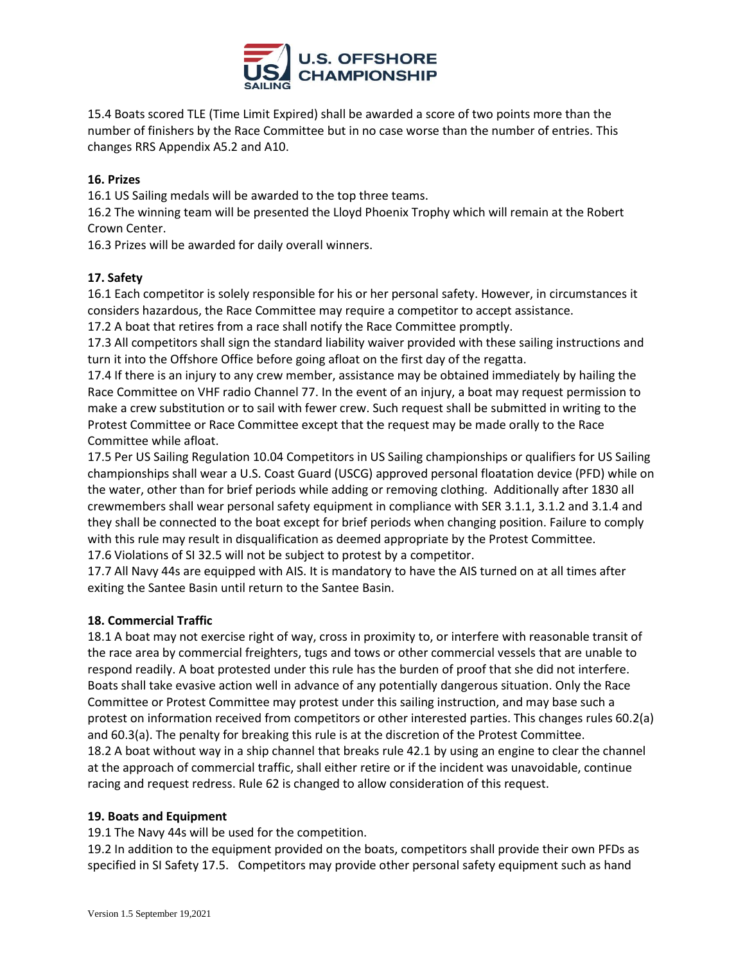

15.4 Boats scored TLE (Time Limit Expired) shall be awarded a score of two points more than the number of finishers by the Race Committee but in no case worse than the number of entries. This changes RRS Appendix A5.2 and A10.

# **16. Prizes**

16.1 US Sailing medals will be awarded to the top three teams.

16.2 The winning team will be presented the Lloyd Phoenix Trophy which will remain at the Robert Crown Center.

16.3 Prizes will be awarded for daily overall winners.

# **17. Safety**

16.1 Each competitor is solely responsible for his or her personal safety. However, in circumstances it considers hazardous, the Race Committee may require a competitor to accept assistance.

17.2 A boat that retires from a race shall notify the Race Committee promptly.

17.3 All competitors shall sign the standard liability waiver provided with these sailing instructions and turn it into the Offshore Office before going afloat on the first day of the regatta.

17.4 If there is an injury to any crew member, assistance may be obtained immediately by hailing the Race Committee on VHF radio Channel 77. In the event of an injury, a boat may request permission to make a crew substitution or to sail with fewer crew. Such request shall be submitted in writing to the Protest Committee or Race Committee except that the request may be made orally to the Race Committee while afloat.

17.5 Per US Sailing Regulation 10.04 Competitors in US Sailing championships or qualifiers for US Sailing championships shall wear a U.S. Coast Guard (USCG) approved personal floatation device (PFD) while on the water, other than for brief periods while adding or removing clothing. Additionally after 1830 all crewmembers shall wear personal safety equipment in compliance with SER 3.1.1, 3.1.2 and 3.1.4 and they shall be connected to the boat except for brief periods when changing position. Failure to comply with this rule may result in disqualification as deemed appropriate by the Protest Committee. 17.6 Violations of SI 32.5 will not be subject to protest by a competitor.

17.7 All Navy 44s are equipped with AIS. It is mandatory to have the AIS turned on at all times after exiting the Santee Basin until return to the Santee Basin.

# **18. Commercial Traffic**

18.1 A boat may not exercise right of way, cross in proximity to, or interfere with reasonable transit of the race area by commercial freighters, tugs and tows or other commercial vessels that are unable to respond readily. A boat protested under this rule has the burden of proof that she did not interfere. Boats shall take evasive action well in advance of any potentially dangerous situation. Only the Race Committee or Protest Committee may protest under this sailing instruction, and may base such a protest on information received from competitors or other interested parties. This changes rules 60.2(a) and 60.3(a). The penalty for breaking this rule is at the discretion of the Protest Committee. 18.2 A boat without way in a ship channel that breaks rule 42.1 by using an engine to clear the channel at the approach of commercial traffic, shall either retire or if the incident was unavoidable, continue racing and request redress. Rule 62 is changed to allow consideration of this request.

## **19. Boats and Equipment**

19.1 The Navy 44s will be used for the competition.

19.2 In addition to the equipment provided on the boats, competitors shall provide their own PFDs as specified in SI Safety 17.5. Competitors may provide other personal safety equipment such as hand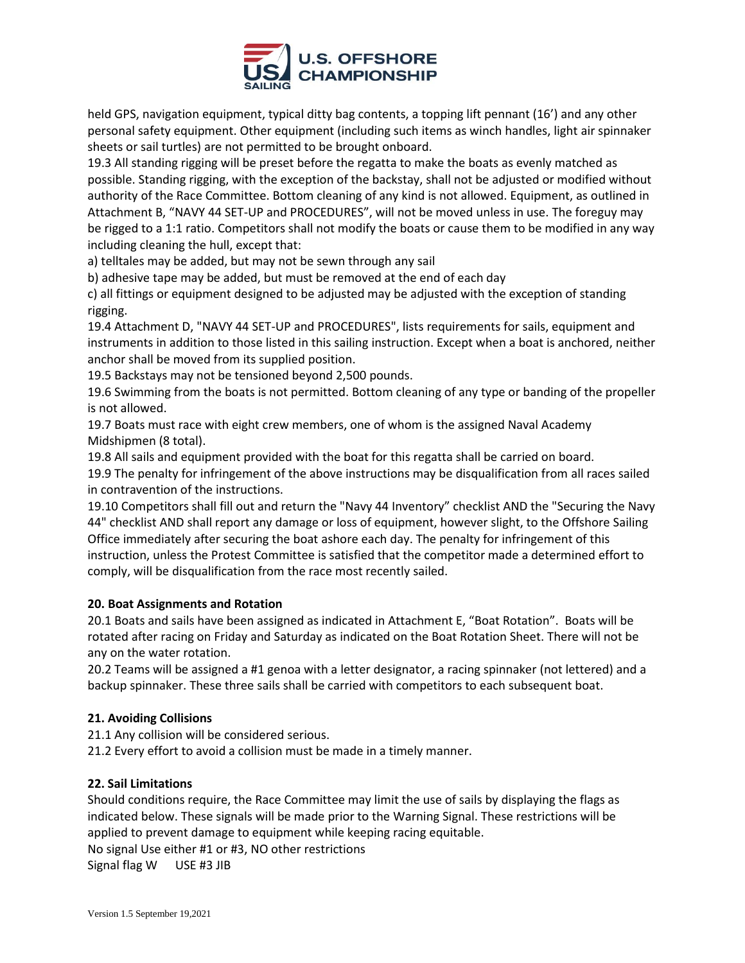

held GPS, navigation equipment, typical ditty bag contents, a topping lift pennant (16') and any other personal safety equipment. Other equipment (including such items as winch handles, light air spinnaker sheets or sail turtles) are not permitted to be brought onboard.

19.3 All standing rigging will be preset before the regatta to make the boats as evenly matched as possible. Standing rigging, with the exception of the backstay, shall not be adjusted or modified without authority of the Race Committee. Bottom cleaning of any kind is not allowed. Equipment, as outlined in Attachment B, "NAVY 44 SET-UP and PROCEDURES", will not be moved unless in use. The foreguy may be rigged to a 1:1 ratio. Competitors shall not modify the boats or cause them to be modified in any way including cleaning the hull, except that:

a) telltales may be added, but may not be sewn through any sail

b) adhesive tape may be added, but must be removed at the end of each day

c) all fittings or equipment designed to be adjusted may be adjusted with the exception of standing rigging.

19.4 Attachment D, "NAVY 44 SET-UP and PROCEDURES", lists requirements for sails, equipment and instruments in addition to those listed in this sailing instruction. Except when a boat is anchored, neither anchor shall be moved from its supplied position.

19.5 Backstays may not be tensioned beyond 2,500 pounds.

19.6 Swimming from the boats is not permitted. Bottom cleaning of any type or banding of the propeller is not allowed.

19.7 Boats must race with eight crew members, one of whom is the assigned Naval Academy Midshipmen (8 total).

19.8 All sails and equipment provided with the boat for this regatta shall be carried on board.

19.9 The penalty for infringement of the above instructions may be disqualification from all races sailed in contravention of the instructions.

19.10 Competitors shall fill out and return the "Navy 44 Inventory" checklist AND the "Securing the Navy 44" checklist AND shall report any damage or loss of equipment, however slight, to the Offshore Sailing Office immediately after securing the boat ashore each day. The penalty for infringement of this instruction, unless the Protest Committee is satisfied that the competitor made a determined effort to comply, will be disqualification from the race most recently sailed.

## **20. Boat Assignments and Rotation**

20.1 Boats and sails have been assigned as indicated in Attachment E, "Boat Rotation". Boats will be rotated after racing on Friday and Saturday as indicated on the Boat Rotation Sheet. There will not be any on the water rotation.

20.2 Teams will be assigned a #1 genoa with a letter designator, a racing spinnaker (not lettered) and a backup spinnaker. These three sails shall be carried with competitors to each subsequent boat.

## **21. Avoiding Collisions**

21.1 Any collision will be considered serious.

21.2 Every effort to avoid a collision must be made in a timely manner.

#### **22. Sail Limitations**

Should conditions require, the Race Committee may limit the use of sails by displaying the flags as indicated below. These signals will be made prior to the Warning Signal. These restrictions will be applied to prevent damage to equipment while keeping racing equitable. No signal Use either #1 or #3, NO other restrictions

Signal flag W USE #3 JIB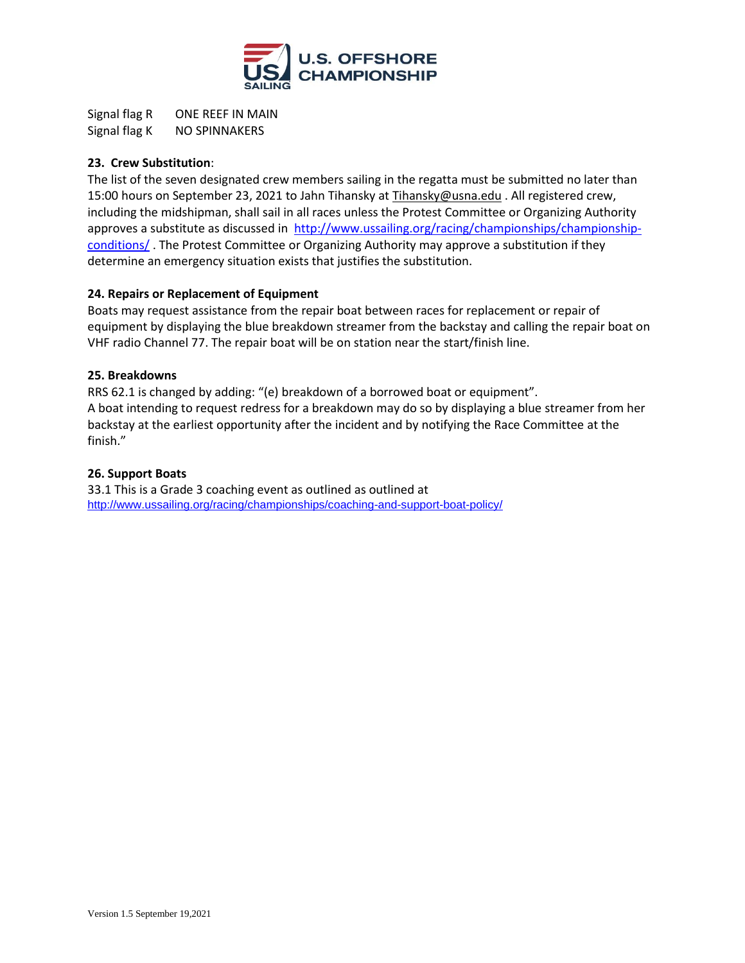

Signal flag R ONE REEF IN MAIN Signal flag K NO SPINNAKERS

## **23. Crew Substitution**:

The list of the seven designated crew members sailing in the regatta must be submitted no later than 15:00 hours on September 23, 2021 to Jahn Tihansky a[t Tihansky@usna.edu](mailto:Tihansky@usna.edu) . All registered crew, including the midshipman, shall sail in all races unless the Protest Committee or Organizing Authority approves a substitute as discussed in [http://www.ussailing.org/racing/championships/championship](http://www.ussailing.org/racing/championships/championship-conditions/)[conditions/](http://www.ussailing.org/racing/championships/championship-conditions/) . The Protest Committee or Organizing Authority may approve a substitution if they determine an emergency situation exists that justifies the substitution.

## **24. Repairs or Replacement of Equipment**

Boats may request assistance from the repair boat between races for replacement or repair of equipment by displaying the blue breakdown streamer from the backstay and calling the repair boat on VHF radio Channel 77. The repair boat will be on station near the start/finish line.

## **25. Breakdowns**

RRS 62.1 is changed by adding: "(e) breakdown of a borrowed boat or equipment". A boat intending to request redress for a breakdown may do so by displaying a blue streamer from her backstay at the earliest opportunity after the incident and by notifying the Race Committee at the finish."

## **26. Support Boats**

33.1 This is a Grade 3 coaching event as outlined as outlined at <http://www.ussailing.org/racing/championships/coaching-and-support-boat-policy/>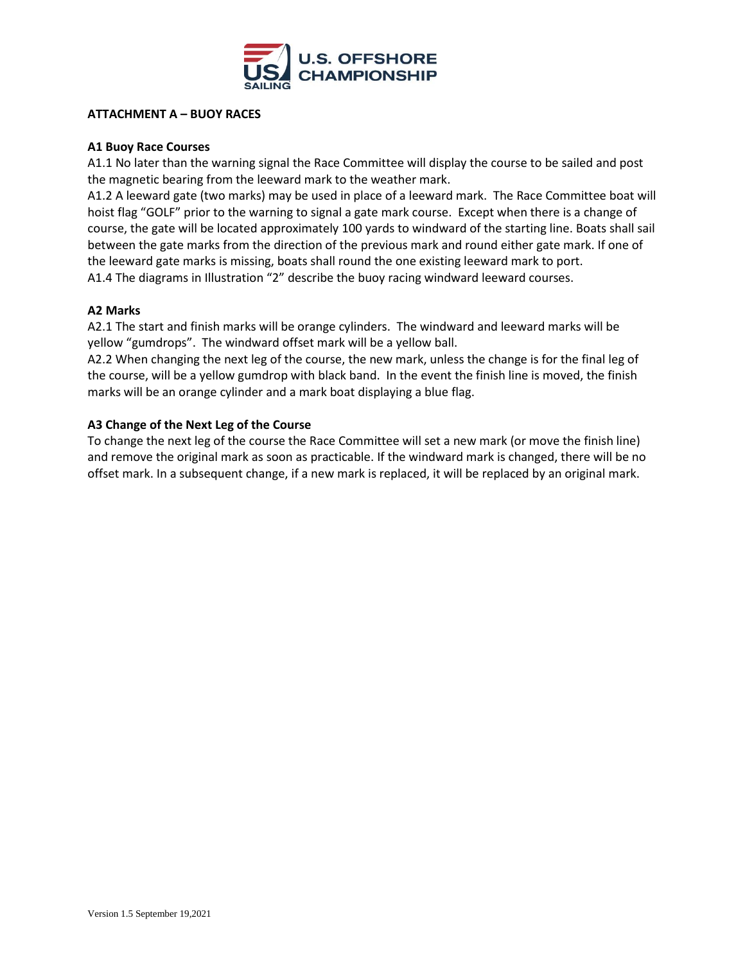

#### **ATTACHMENT A – BUOY RACES**

#### **A1 Buoy Race Courses**

A1.1 No later than the warning signal the Race Committee will display the course to be sailed and post the magnetic bearing from the leeward mark to the weather mark.

A1.2 A leeward gate (two marks) may be used in place of a leeward mark. The Race Committee boat will hoist flag "GOLF" prior to the warning to signal a gate mark course. Except when there is a change of course, the gate will be located approximately 100 yards to windward of the starting line. Boats shall sail between the gate marks from the direction of the previous mark and round either gate mark. If one of the leeward gate marks is missing, boats shall round the one existing leeward mark to port. A1.4 The diagrams in Illustration "2" describe the buoy racing windward leeward courses.

#### **A2 Marks**

A2.1 The start and finish marks will be orange cylinders. The windward and leeward marks will be yellow "gumdrops". The windward offset mark will be a yellow ball.

A2.2 When changing the next leg of the course, the new mark, unless the change is for the final leg of the course, will be a yellow gumdrop with black band. In the event the finish line is moved, the finish marks will be an orange cylinder and a mark boat displaying a blue flag.

#### **A3 Change of the Next Leg of the Course**

To change the next leg of the course the Race Committee will set a new mark (or move the finish line) and remove the original mark as soon as practicable. If the windward mark is changed, there will be no offset mark. In a subsequent change, if a new mark is replaced, it will be replaced by an original mark.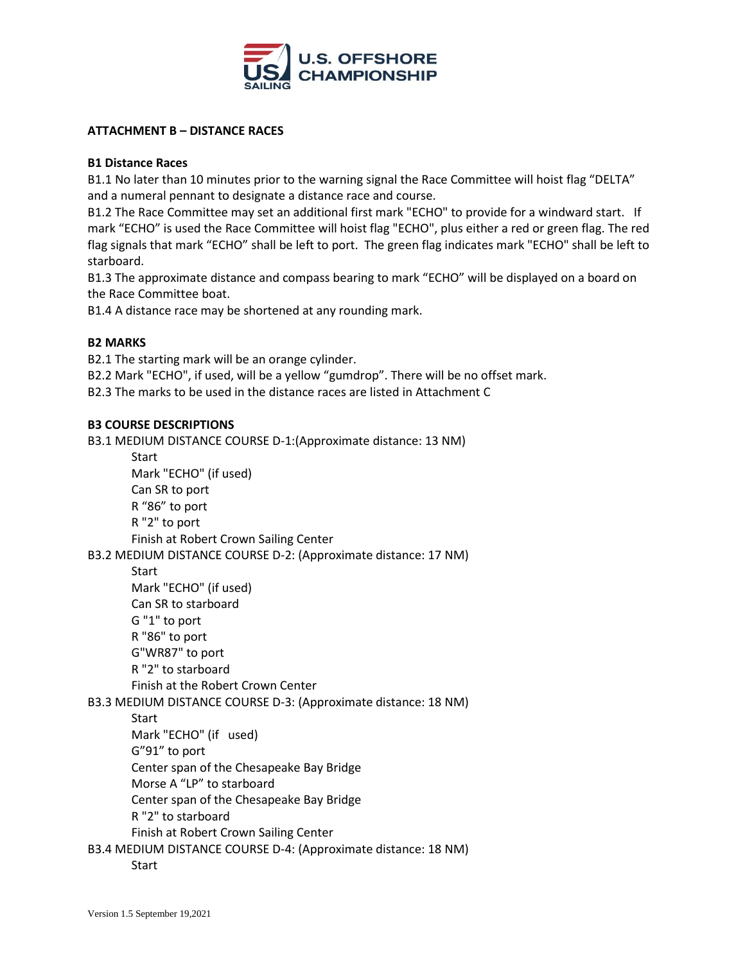

#### **ATTACHMENT B – DISTANCE RACES**

#### **B1 Distance Races**

B1.1 No later than 10 minutes prior to the warning signal the Race Committee will hoist flag "DELTA" and a numeral pennant to designate a distance race and course.

B1.2 The Race Committee may set an additional first mark "ECHO" to provide for a windward start. If mark "ECHO" is used the Race Committee will hoist flag "ECHO", plus either a red or green flag. The red flag signals that mark "ECHO" shall be left to port. The green flag indicates mark "ECHO" shall be left to starboard.

B1.3 The approximate distance and compass bearing to mark "ECHO" will be displayed on a board on the Race Committee boat.

B1.4 A distance race may be shortened at any rounding mark.

#### **B2 MARKS**

B2.1 The starting mark will be an orange cylinder.

B2.2 Mark "ECHO", if used, will be a yellow "gumdrop". There will be no offset mark.

B2.3 The marks to be used in the distance races are listed in Attachment C

#### **B3 COURSE DESCRIPTIONS**

B3.1 MEDIUM DISTANCE COURSE D-1:(Approximate distance: 13 NM)

**Start** 

Mark "ECHO" (if used) Can SR to port R "86" to port R "2" to port Finish at Robert Crown Sailing Center B3.2 MEDIUM DISTANCE COURSE D-2: (Approximate distance: 17 NM) **Start** Mark "ECHO" (if used) Can SR to starboard G "1" to port R "86" to port G"WR87" to port R "2" to starboard Finish at the Robert Crown Center B3.3 MEDIUM DISTANCE COURSE D-3: (Approximate distance: 18 NM) Start Mark "ECHO" (if used) G"91" to port

Center span of the Chesapeake Bay Bridge

Morse A "LP" to starboard

Center span of the Chesapeake Bay Bridge

R "2" to starboard

Finish at Robert Crown Sailing Center

B3.4 MEDIUM DISTANCE COURSE D-4: (Approximate distance: 18 NM)

Start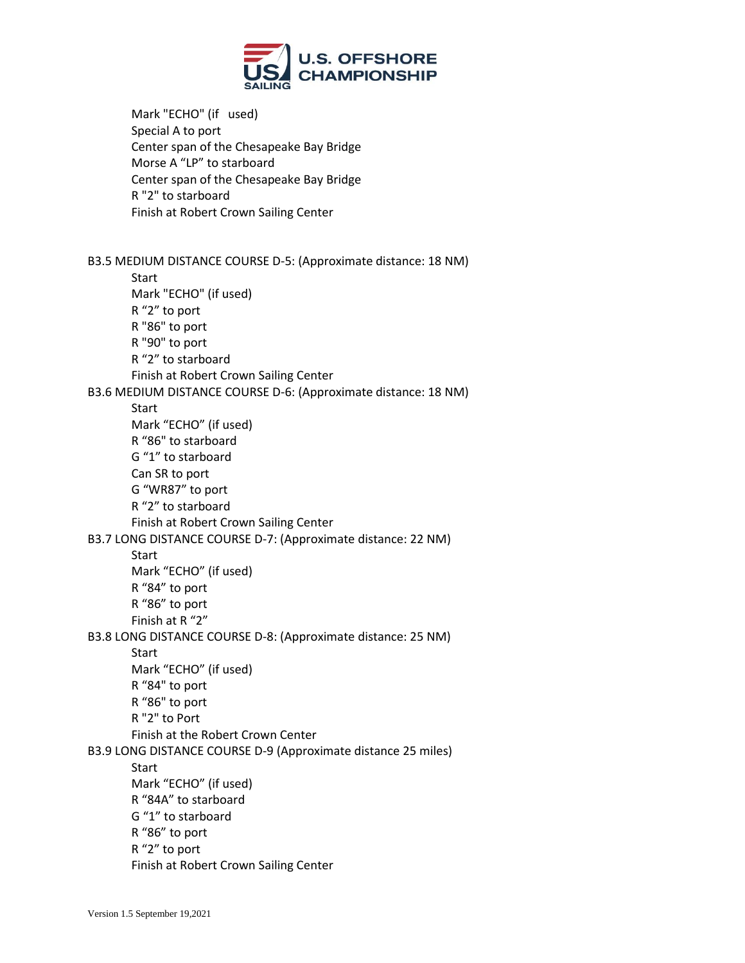

Mark "ECHO" (if used) Special A to port Center span of the Chesapeake Bay Bridge Morse A "LP" to starboard Center span of the Chesapeake Bay Bridge R "2" to starboard Finish at Robert Crown Sailing Center

B3.5 MEDIUM DISTANCE COURSE D-5: (Approximate distance: 18 NM)

**Start** Mark "ECHO" (if used) R "2" to port R "86" to port R "90" to port R "2" to starboard Finish at Robert Crown Sailing Center B3.6 MEDIUM DISTANCE COURSE D-6: (Approximate distance: 18 NM) **Start** Mark "ECHO" (if used) R "86" to starboard G "1" to starboard Can SR to port G "WR87" to port R "2" to starboard Finish at Robert Crown Sailing Center B3.7 LONG DISTANCE COURSE D-7: (Approximate distance: 22 NM) Start Mark "ECHO" (if used) R "84" to port R "86" to port Finish at R "2" B3.8 LONG DISTANCE COURSE D-8: (Approximate distance: 25 NM) Start Mark "ECHO" (if used) R "84" to port R "86" to port R "2" to Port Finish at the Robert Crown Center B3.9 LONG DISTANCE COURSE D-9 (Approximate distance 25 miles) **Start** Mark "ECHO" (if used) R "84A" to starboard G "1" to starboard R "86" to port R "2" to port Finish at Robert Crown Sailing Center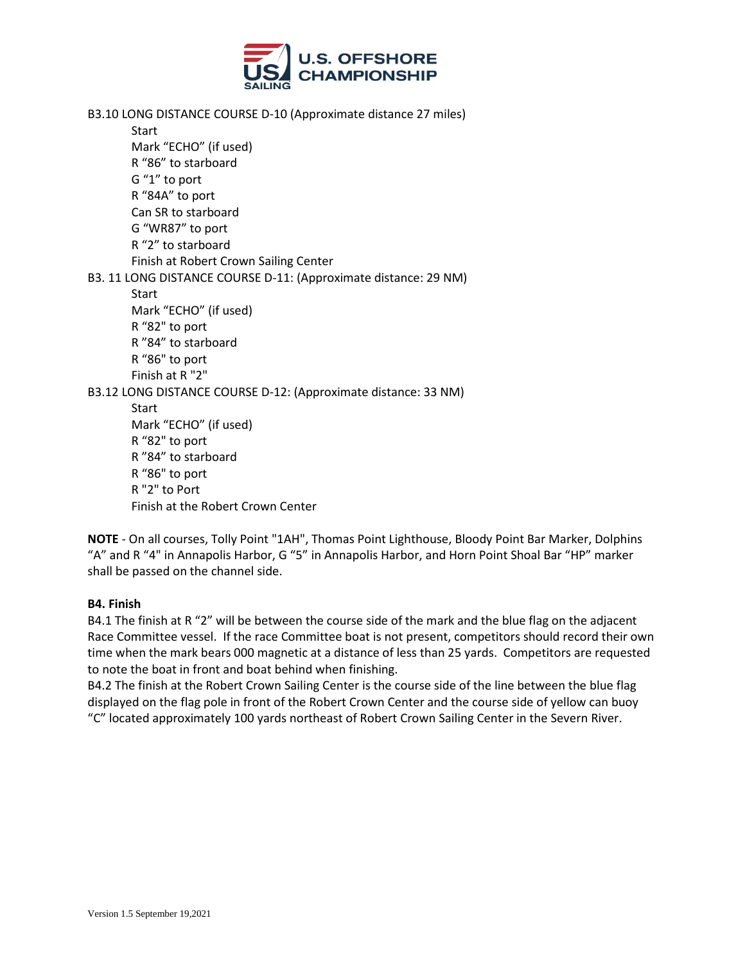

B3.10 LONG DISTANCE COURSE D-10 (Approximate distance 27 miles)

**Start** Mark "ECHO" (if used) R "86" to starboard G "1" to port R "84A" to port Can SR to starboard G "WR87" to port R "2" to starboard Finish at Robert Crown Sailing Center B3. 11 LONG DISTANCE COURSE D-11: (Approximate distance: 29 NM) Start Mark "ECHO" (if used) R "82" to port R "84" to starboard R "86" to port Finish at R "2" B3.12 LONG DISTANCE COURSE D-12: (Approximate distance: 33 NM) **Start** Mark "ECHO" (if used) R "82" to port R "84" to starboard R "86" to port R "2" to Port Finish at the Robert Crown Center

**NOTE** - On all courses, Tolly Point "1AH", Thomas Point Lighthouse, Bloody Point Bar Marker, Dolphins "A" and R "4" in Annapolis Harbor, G "5" in Annapolis Harbor, and Horn Point Shoal Bar "HP" marker shall be passed on the channel side.

#### **B4. Finish**

B4.1 The finish at R "2" will be between the course side of the mark and the blue flag on the adjacent Race Committee vessel. If the race Committee boat is not present, competitors should record their own time when the mark bears 000 magnetic at a distance of less than 25 yards. Competitors are requested to note the boat in front and boat behind when finishing.

B4.2 The finish at the Robert Crown Sailing Center is the course side of the line between the blue flag displayed on the flag pole in front of the Robert Crown Center and the course side of yellow can buoy "C" located approximately 100 yards northeast of Robert Crown Sailing Center in the Severn River.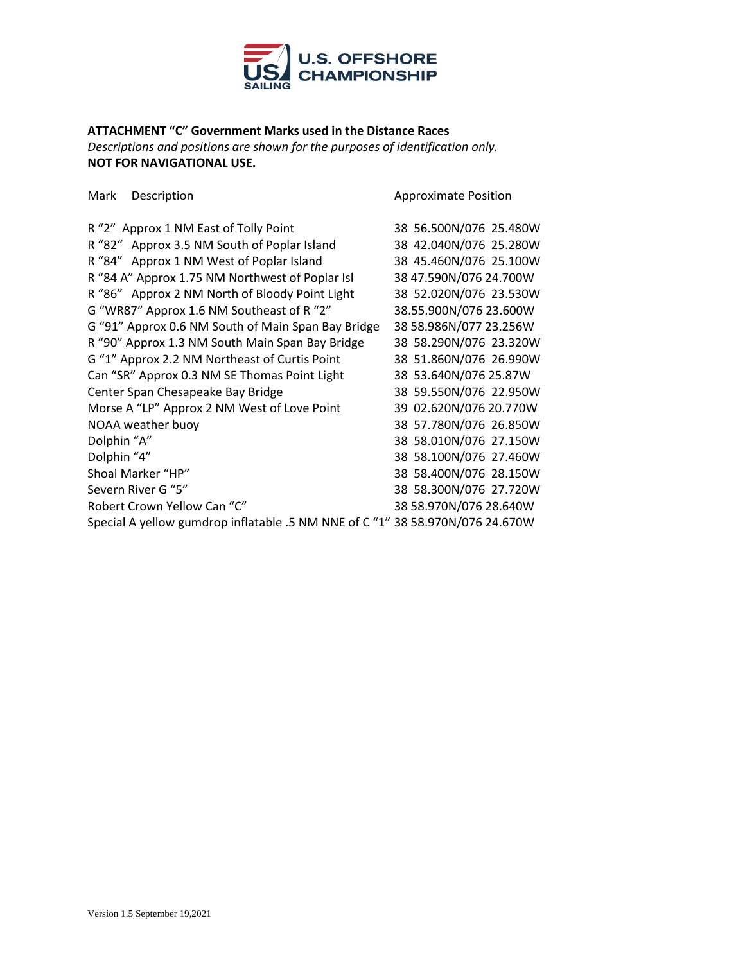

# **ATTACHMENT "C" Government Marks used in the Distance Races**

*Descriptions and positions are shown for the purposes of identification only.*  **NOT FOR NAVIGATIONAL USE.**

Mark Description **Approximate Position** Approximate Position

| R "2" Approx 1 NM East of Tolly Point                                         | 38 56.500N/076 25.480W |
|-------------------------------------------------------------------------------|------------------------|
| R "82" Approx 3.5 NM South of Poplar Island                                   | 38 42.040N/076 25.280W |
| R "84" Approx 1 NM West of Poplar Island                                      | 38 45.460N/076 25.100W |
| R "84 A" Approx 1.75 NM Northwest of Poplar Isl                               | 38 47.590N/076 24.700W |
| R "86" Approx 2 NM North of Bloody Point Light                                | 38 52.020N/076 23.530W |
| G "WR87" Approx 1.6 NM Southeast of R "2"                                     | 38.55.900N/076 23.600W |
| G "91" Approx 0.6 NM South of Main Span Bay Bridge                            | 38 58.986N/077 23.256W |
| R "90" Approx 1.3 NM South Main Span Bay Bridge                               | 38 58.290N/076 23.320W |
| G "1" Approx 2.2 NM Northeast of Curtis Point                                 | 38 51.860N/076 26.990W |
| Can "SR" Approx 0.3 NM SE Thomas Point Light                                  | 38 53.640N/076 25.87W  |
| Center Span Chesapeake Bay Bridge                                             | 38 59.550N/076 22.950W |
| Morse A "LP" Approx 2 NM West of Love Point                                   | 39 02.620N/076 20.770W |
| NOAA weather buoy                                                             | 38 57.780N/076 26.850W |
| Dolphin "A"                                                                   | 38 58.010N/076 27.150W |
| Dolphin "4"                                                                   | 38 58.100N/076 27.460W |
| Shoal Marker "HP"                                                             | 38 58.400N/076 28.150W |
| Severn River G "5"                                                            | 38 58.300N/076 27.720W |
| Robert Crown Yellow Can "C"                                                   | 38 58.970N/076 28.640W |
| Special A yellow gumdrop inflatable .5 NM NNE of C "1" 38 58.970N/076 24.670W |                        |
|                                                                               |                        |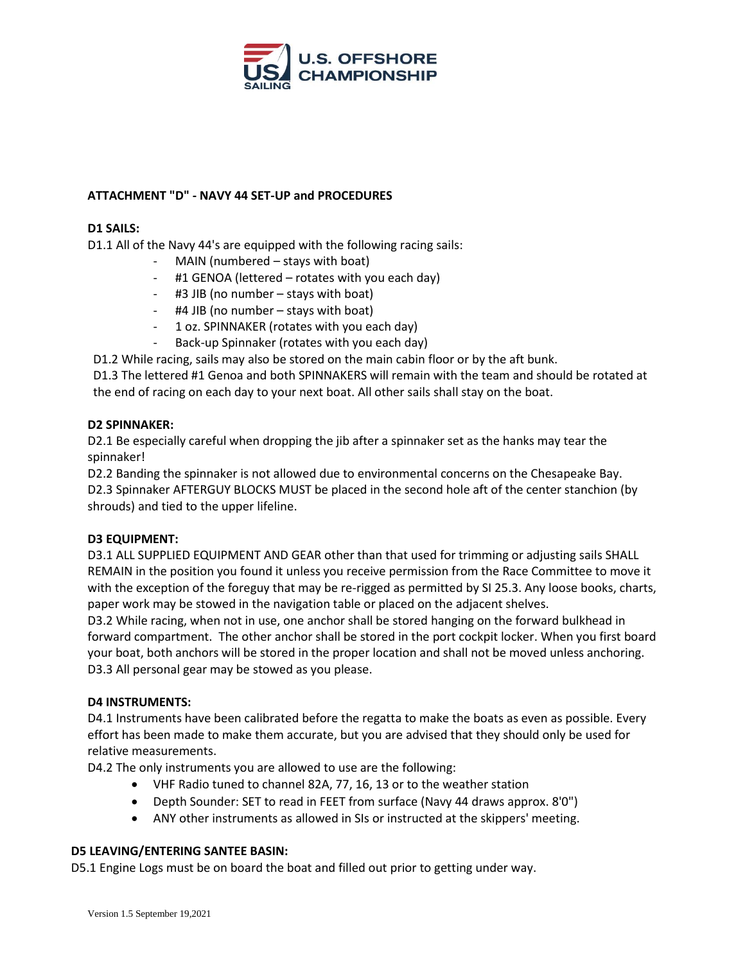

# **ATTACHMENT "D" - NAVY 44 SET-UP and PROCEDURES**

#### **D1 SAILS:**

D1.1 All of the Navy 44's are equipped with the following racing sails:

- MAIN (numbered stays with boat)
- #1 GENOA (lettered rotates with you each day)
- #3 JIB (no number stays with boat)
- #4 JIB (no number stays with boat)
- 1 oz. SPINNAKER (rotates with you each day)
- Back-up Spinnaker (rotates with you each day)

D1.2 While racing, sails may also be stored on the main cabin floor or by the aft bunk.

D1.3 The lettered #1 Genoa and both SPINNAKERS will remain with the team and should be rotated at the end of racing on each day to your next boat. All other sails shall stay on the boat.

## **D2 SPINNAKER:**

D2.1 Be especially careful when dropping the jib after a spinnaker set as the hanks may tear the spinnaker!

D2.2 Banding the spinnaker is not allowed due to environmental concerns on the Chesapeake Bay. D2.3 Spinnaker AFTERGUY BLOCKS MUST be placed in the second hole aft of the center stanchion (by shrouds) and tied to the upper lifeline.

## **D3 EQUIPMENT:**

D3.1 ALL SUPPLIED EQUIPMENT AND GEAR other than that used for trimming or adjusting sails SHALL REMAIN in the position you found it unless you receive permission from the Race Committee to move it with the exception of the foreguy that may be re-rigged as permitted by SI 25.3. Any loose books, charts, paper work may be stowed in the navigation table or placed on the adjacent shelves.

D3.2 While racing, when not in use, one anchor shall be stored hanging on the forward bulkhead in forward compartment. The other anchor shall be stored in the port cockpit locker. When you first board your boat, both anchors will be stored in the proper location and shall not be moved unless anchoring. D3.3 All personal gear may be stowed as you please.

## **D4 INSTRUMENTS:**

D4.1 Instruments have been calibrated before the regatta to make the boats as even as possible. Every effort has been made to make them accurate, but you are advised that they should only be used for relative measurements.

D4.2 The only instruments you are allowed to use are the following:

- VHF Radio tuned to channel 82A, 77, 16, 13 or to the weather station
- Depth Sounder: SET to read in FEET from surface (Navy 44 draws approx. 8'0")
- ANY other instruments as allowed in SIs or instructed at the skippers' meeting.

# **D5 LEAVING/ENTERING SANTEE BASIN:**

D5.1 Engine Logs must be on board the boat and filled out prior to getting under way.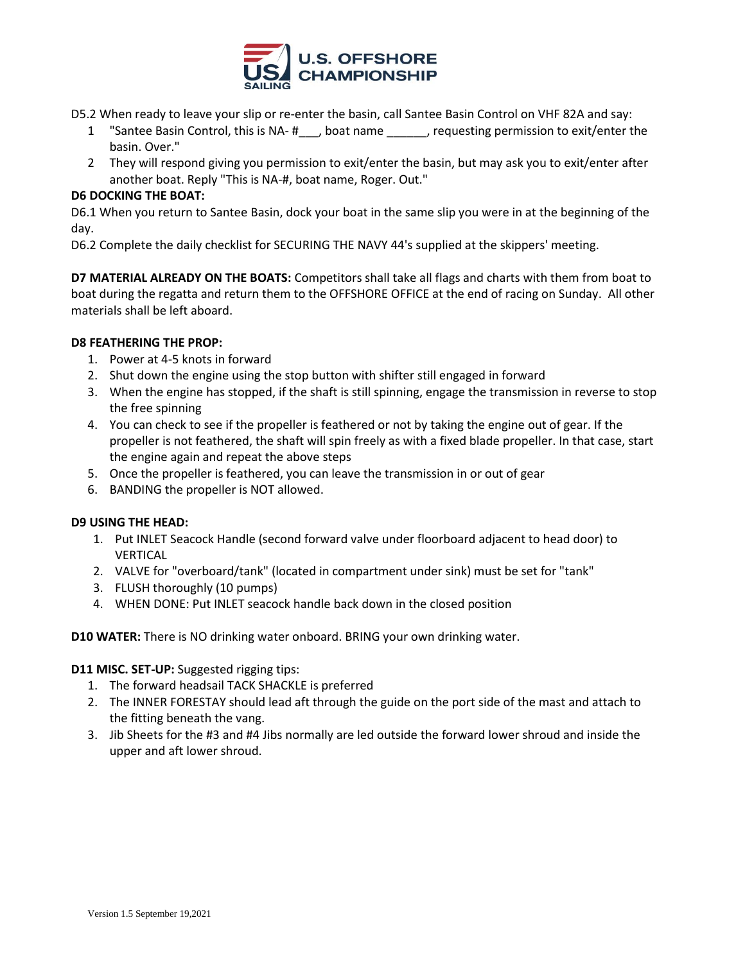

- D5.2 When ready to leave your slip or re-enter the basin, call Santee Basin Control on VHF 82A and say:
	- 1 "Santee Basin Control, this is NA- #\_\_\_, boat name \_\_\_\_\_\_, requesting permission to exit/enter the basin. Over."
	- 2 They will respond giving you permission to exit/enter the basin, but may ask you to exit/enter after another boat. Reply "This is NA-#, boat name, Roger. Out."

# **D6 DOCKING THE BOAT:**

D6.1 When you return to Santee Basin, dock your boat in the same slip you were in at the beginning of the day.

D6.2 Complete the daily checklist for SECURING THE NAVY 44's supplied at the skippers' meeting.

**D7 MATERIAL ALREADY ON THE BOATS:** Competitors shall take all flags and charts with them from boat to boat during the regatta and return them to the OFFSHORE OFFICE at the end of racing on Sunday. All other materials shall be left aboard.

## **D8 FEATHERING THE PROP:**

- 1. Power at 4-5 knots in forward
- 2. Shut down the engine using the stop button with shifter still engaged in forward
- 3. When the engine has stopped, if the shaft is still spinning, engage the transmission in reverse to stop the free spinning
- 4. You can check to see if the propeller is feathered or not by taking the engine out of gear. If the propeller is not feathered, the shaft will spin freely as with a fixed blade propeller. In that case, start the engine again and repeat the above steps
- 5. Once the propeller is feathered, you can leave the transmission in or out of gear
- 6. BANDING the propeller is NOT allowed.

## **D9 USING THE HEAD:**

- 1. Put INLET Seacock Handle (second forward valve under floorboard adjacent to head door) to VERTICAL
- 2. VALVE for "overboard/tank" (located in compartment under sink) must be set for "tank"
- 3. FLUSH thoroughly (10 pumps)
- 4. WHEN DONE: Put INLET seacock handle back down in the closed position

**D10 WATER:** There is NO drinking water onboard. BRING your own drinking water.

## **D11 MISC. SET-UP:** Suggested rigging tips:

- 1. The forward headsail TACK SHACKLE is preferred
- 2. The INNER FORESTAY should lead aft through the guide on the port side of the mast and attach to the fitting beneath the vang.
- 3. Jib Sheets for the #3 and #4 Jibs normally are led outside the forward lower shroud and inside the upper and aft lower shroud.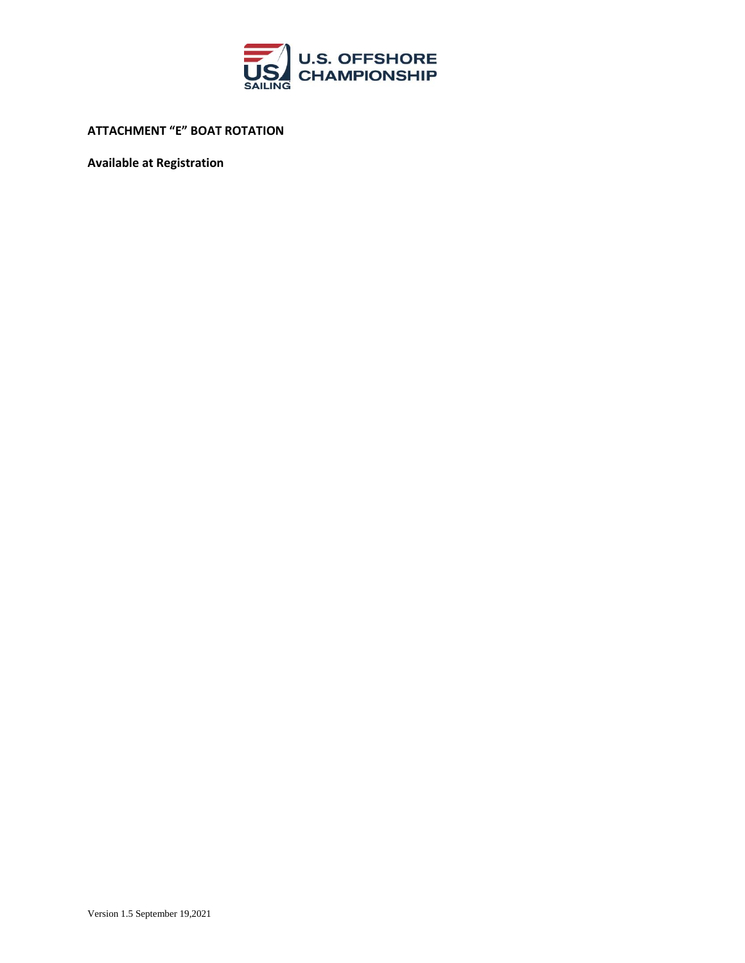

**ATTACHMENT "E" BOAT ROTATION**

**Available at Registration**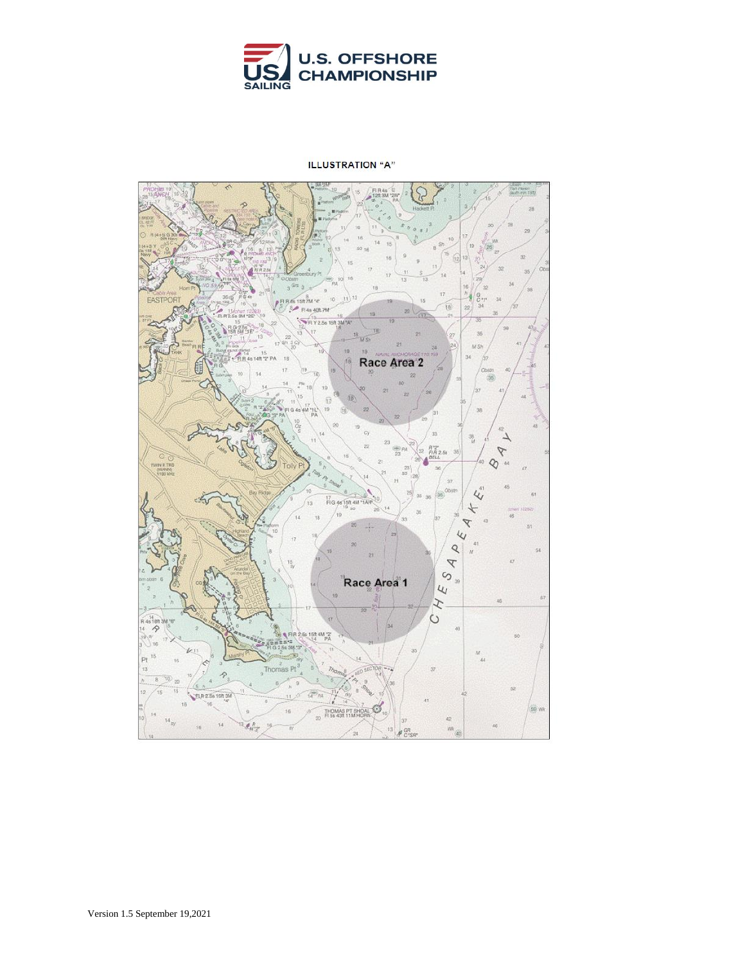

#### **ILLUSTRATION "A"**